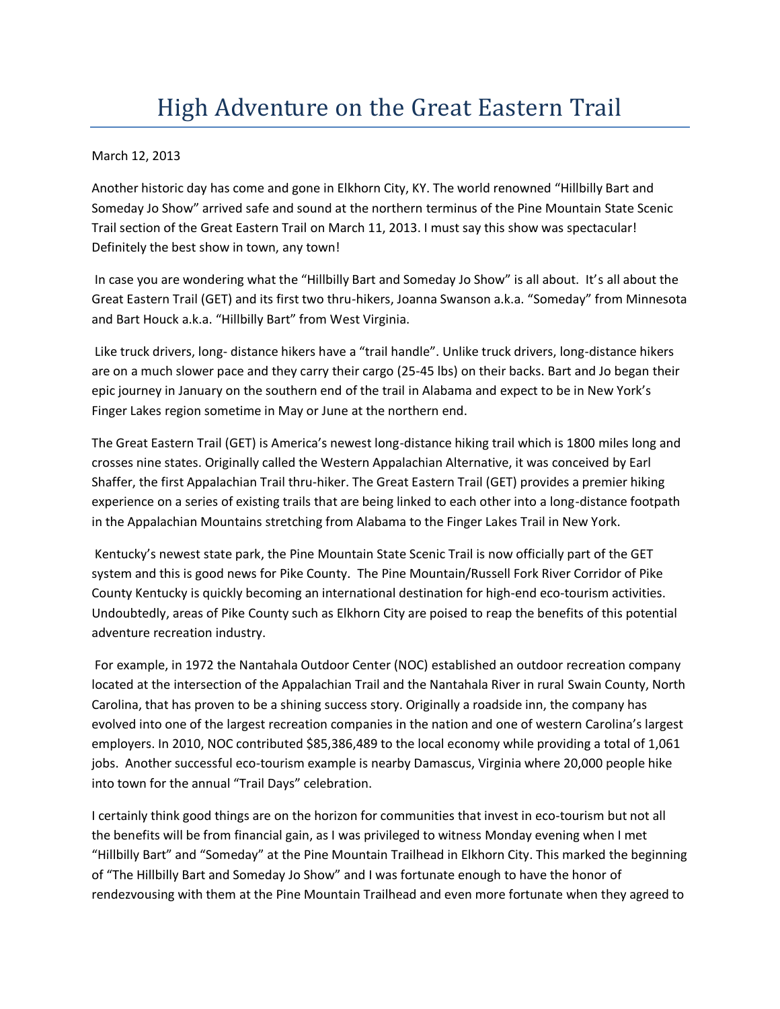## High Adventure on the Great Eastern Trail

## March 12, 2013

Another historic day has come and gone in Elkhorn City, KY. The world renowned "Hillbilly Bart and Someday Jo Show" arrived safe and sound at the northern terminus of the Pine Mountain State Scenic Trail section of the Great Eastern Trail on March 11, 2013. I must say this show was spectacular! Definitely the best show in town, any town!

In case you are wondering what the "Hillbilly Bart and Someday Jo Show" is all about. It's all about the Great Eastern Trail (GET) and its first two thru-hikers, Joanna Swanson a.k.a. "Someday" from Minnesota and Bart Houck a.k.a. "Hillbilly Bart" from West Virginia.

Like truck drivers, long- distance hikers have a "trail handle". Unlike truck drivers, long-distance hikers are on a much slower pace and they carry their cargo (25-45 lbs) on their backs. Bart and Jo began their epic journey in January on the southern end of the trail in Alabama and expect to be in New York's Finger Lakes region sometime in May or June at the northern end.

The Great Eastern Trail (GET) is America's newest long-distance hiking trail which is 1800 miles long and crosses nine states. Originally called the Western Appalachian Alternative, it was conceived by Earl Shaffer, the first Appalachian Trail thru-hiker. The Great Eastern Trail (GET) provides a premier hiking experience on a series of existing trails that are being linked to each other into a long-distance footpath in the Appalachian Mountains stretching from Alabama to the Finger Lakes Trail in New York.

Kentucky's newest state park, the Pine Mountain State Scenic Trail is now officially part of the GET system and this is good news for Pike County. The Pine Mountain/Russell Fork River Corridor of Pike County Kentucky is quickly becoming an international destination for high-end eco-tourism activities. Undoubtedly, areas of Pike County such as Elkhorn City are poised to reap the benefits of this potential adventure recreation industry.

For example, in 1972 the Nantahala Outdoor Center (NOC) established an outdoor recreation company located at the intersection of the Appalachian Trail and the Nantahala River in rural Swain County, North Carolina, that has proven to be a shining success story. Originally a roadside inn, the company has evolved into one of the largest recreation companies in the nation and one of western Carolina's largest employers. In 2010, NOC contributed \$85,386,489 to the local economy while providing a total of 1,061 jobs. Another successful eco-tourism example is nearby Damascus, Virginia where 20,000 people hike into town for the annual "Trail Days" celebration.

I certainly think good things are on the horizon for communities that invest in eco-tourism but not all the benefits will be from financial gain, as I was privileged to witness Monday evening when I met "Hillbilly Bart" and "Someday" at the Pine Mountain Trailhead in Elkhorn City. This marked the beginning of "The Hillbilly Bart and Someday Jo Show" and I was fortunate enough to have the honor of rendezvousing with them at the Pine Mountain Trailhead and even more fortunate when they agreed to